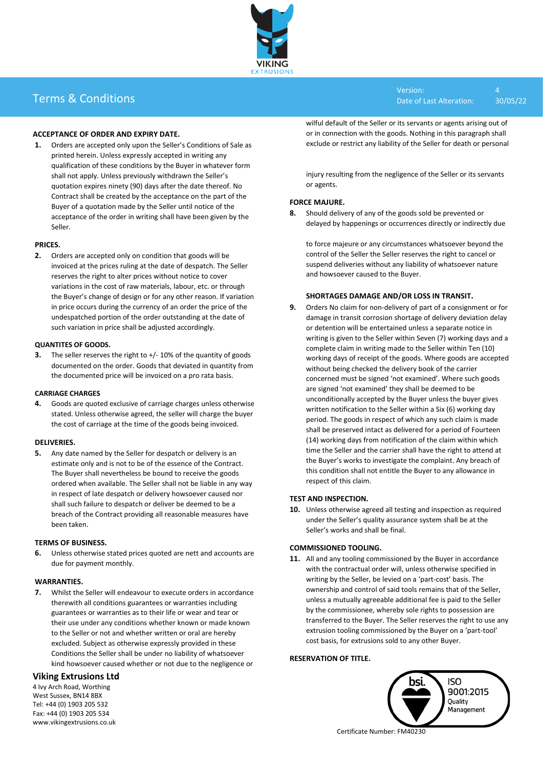Version: 4 Date of Last Alteration: 30/05/22



# Terms & Conditions

## **ACCEPTANCE OF ORDER AND EXPIRY DATE.**

**1.** Orders are accepted only upon the Seller's Conditions of Sale as printed herein. Unless expressly accepted in writing any qualification of these conditions by the Buyer in whatever form shall not apply. Unless previously withdrawn the Seller's quotation expires ninety (90) days after the date thereof. No Contract shall be created by the acceptance on the part of the Buyer of a quotation made by the Seller until notice of the acceptance of the order in writing shall have been given by the Seller.

#### **PRICES.**

**2.** Orders are accepted only on condition that goods will be invoiced at the prices ruling at the date of despatch. The Seller reserves the right to alter prices without notice to cover variations in the cost of raw materials, labour, etc. or through the Buyer's change of design or for any other reason. If variation in price occurs during the currency of an order the price of the undespatched portion of the order outstanding at the date of such variation in price shall be adjusted accordingly.

#### **QUANTITES OF GOODS.**

**3.** The seller reserves the right to +/- 10% of the quantity of goods documented on the order. Goods that deviated in quantity from the documented price will be invoiced on a pro rata basis.

#### **CARRIAGE CHARGES**

**4.** Goods are quoted exclusive of carriage charges unless otherwise stated. Unless otherwise agreed, the seller will charge the buyer the cost of carriage at the time of the goods being invoiced.

## **DELIVERIES.**

**5.** Any date named by the Seller for despatch or delivery is an estimate only and is not to be of the essence of the Contract. The Buyer shall nevertheless be bound to receive the goods ordered when available. The Seller shall not be liable in any way in respect of late despatch or delivery howsoever caused nor shall such failure to despatch or deliver be deemed to be a breach of the Contract providing all reasonable measures have been taken.

## **TERMS OF BUSINESS.**

**6.** Unless otherwise stated prices quoted are nett and accounts are due for payment monthly.

#### **WARRANTIES.**

**7.** Whilst the Seller will endeavour to execute orders in accordance therewith all conditions guarantees or warranties including guarantees or warranties as to their life or wear and tear or their use under any conditions whether known or made known to the Seller or not and whether written or oral are hereby excluded. Subject as otherwise expressly provided in these Conditions the Seller shall be under no liability of whatsoever kind howsoever caused whether or not due to the negligence or

## **Viking Extrusions Ltd**

4 Ivy Arch Road, Worthing West Sussex, BN14 8BX Tel: +44 (0) 1903 205 532 Fax: +44 (0) 1903 205 534 www.vikingextrusions.co.uk wilful default of the Seller or its servants or agents arising out of or in connection with the goods. Nothing in this paragraph shall exclude or restrict any liability of the Seller for death or personal

injury resulting from the negligence of the Seller or its servants or agents.

## **FORCE MAJURE.**

**8.** Should delivery of any of the goods sold be prevented or delayed by happenings or occurrences directly or indirectly due

to force majeure or any circumstances whatsoever beyond the control of the Seller the Seller reserves the right to cancel or suspend deliveries without any liability of whatsoever nature and howsoever caused to the Buyer.

## **SHORTAGES DAMAGE AND/OR LOSS IN TRANSIT.**

**9.** Orders No claim for non-delivery of part of a consignment or for damage in transit corrosion shortage of delivery deviation delay or detention will be entertained unless a separate notice in writing is given to the Seller within Seven (7) working days and a complete claim in writing made to the Seller within Ten (10) working days of receipt of the goods. Where goods are accepted without being checked the delivery book of the carrier concerned must be signed 'not examined'. Where such goods are signed 'not examined' they shall be deemed to be unconditionally accepted by the Buyer unless the buyer gives written notification to the Seller within a Six (6) working day period. The goods in respect of which any such claim is made shall be preserved intact as delivered for a period of Fourteen (14) working days from notification of the claim within which time the Seller and the carrier shall have the right to attend at the Buyer's works to investigate the complaint. Any breach of this condition shall not entitle the Buyer to any allowance in respect of this claim.

## **TEST AND INSPECTION.**

**10.** Unless otherwise agreed all testing and inspection as required under the Seller's quality assurance system shall be at the Seller's works and shall be final.

## **COMMISSIONED TOOLING.**

**11.** All and any tooling commissioned by the Buyer in accordance with the contractual order will, unless otherwise specified in writing by the Seller, be levied on a 'part-cost' basis. The ownership and control of said tools remains that of the Seller, unless a mutually agreeable additional fee is paid to the Seller by the commissionee, whereby sole rights to possession are transferred to the Buyer. The Seller reserves the right to use any extrusion tooling commissioned by the Buyer on a 'part-tool' cost basis, for extrusions sold to any other Buyer.

## **RESERVATION OF TITLE.**



Certificate Number: FM40230